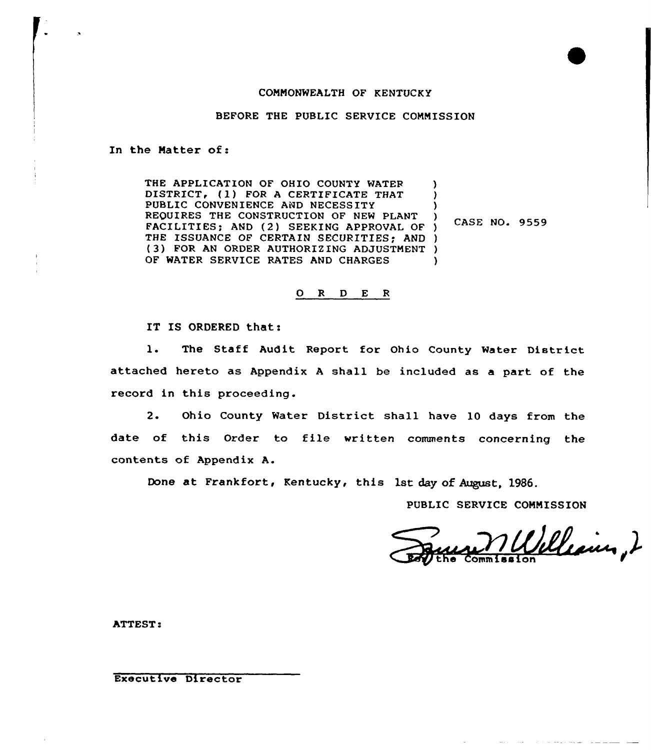#### COMMONWEALTH OF KENTUCKY

BEFORE THE PUBLIC SERVICE COMMISSION

In the Matter of:

THE APPLICATION OF OHIO COUNTY WATER DISTRICT, (1) FOR A CERTIFICATE THAT PUBLIC CONVENIENCE AND NECESSITY REQUIRES THE CONSTRUCTION OF NEW PLANT FACILITIES; AND (2) SEEKING APPROVAL OF ) THE ISSUANCE OF CERTAIN SECURITIES; AND ) (3) FOR AN ORDER AUTHORIZING ADJUSTMENT ) OF WATER SERVICE RATES AND CHARGES ) )  $\left\{ \right\}$ CASE NO. 9559 )

#### O R D E R

IT IS ORDERED that:

1. The Staff Audit Report for Ohio County Water District attached hereto as Appendix <sup>A</sup> shall be included as a part of the record in this proceeding.

2. Ohio County Water District shall have 10 days from the date of this Order to file written comments concerning the contents of Appendix A.

Done at Frankfort, Kentucky, this 1st day of August, 1986.

PUBLIC SERVICE COMMISSION

Wlesin, 2 the Commissio

ATTEST

Executive Director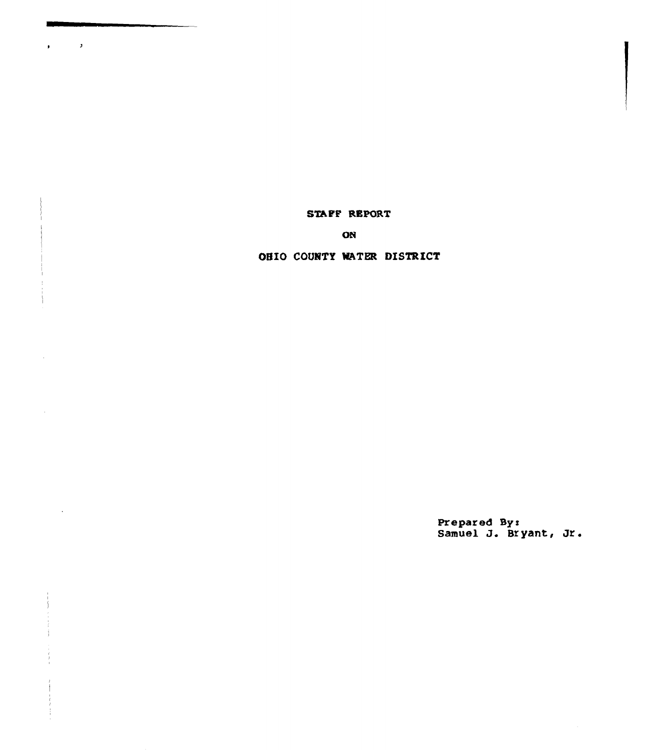STAFF REPORT

 $\mathcal{L}^{\mathcal{L}}(\mathcal{A})$ 

 $\sim$ 

ON

# OHIO COUNTY WATER DISTRICT

Prepared Syx Samuel J. Bryant, Jr.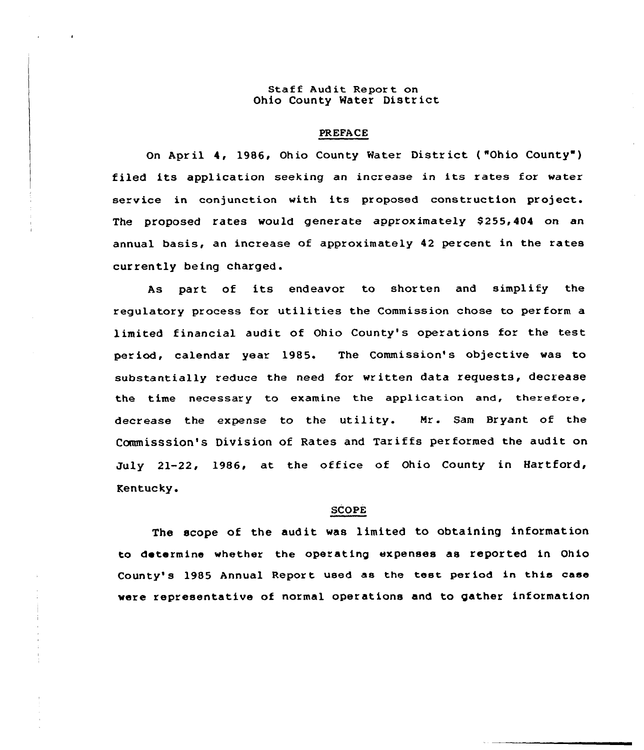# Staff Audit Report on Ohio County Water District

#### PREFACE

On April 4, 1986, Ohio County Water District ("Ohio County") filed its application seeking an increase in its rates for water service in conjunction with its proposed construction project. The proposed rates would generate approximately \$255,404 on an annual basis, an increase of approximately 42 percent in the rates currently being charged.

As part of its endeavor to shorten and simplify the regulatory process for utilities the Commission chose to per form a limited financial audit of Ohio County's operations for the test period, calendar year 1985. The Commission's objective was to substantially reduce the need for wr itten data requests, decrease the time necessary to examine the application and, therefore, decrease the expense to the utility. Mr. Sam Bryant of the Commisssion's Division of Rates and Tariffs performed the audit on July 21-22, 1986, at the office of Ohio County in Hartford, Rentucky.

## SCOPE

The scope of the audit was limited to obtaining information to determine whether the operating expenses as reported in Ohio County's 1985 Annual Report used as the test period in this case were representative of normal operations and to gather information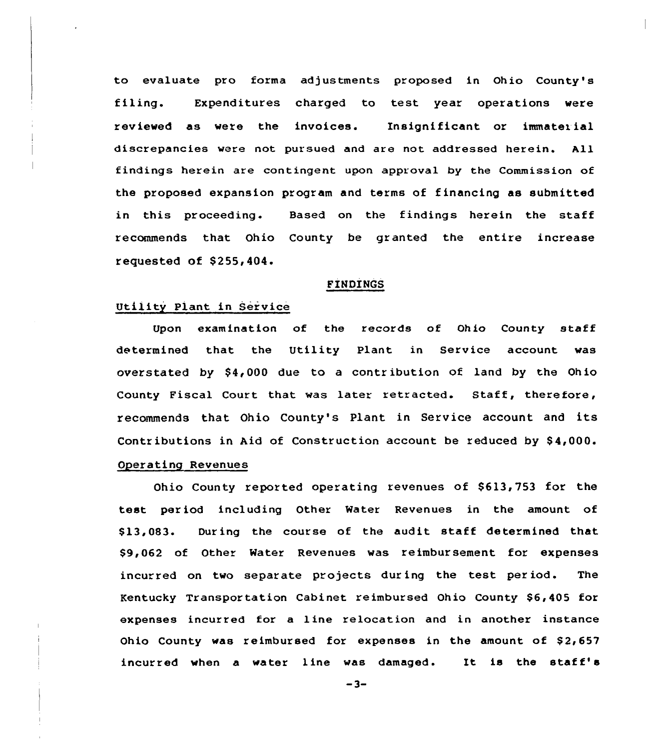to evaluate pro forma adjustments proposed in Ohio County's filing. Expenditures charged to test year operations were reviewed as were the invoices. Insignificant or immatet ial discrepancies were not pursued and are not addressed herein. All findings herein are contingent upon approval by the Commission of the proposed expansion program and terms of financing as submitted in this proceeding. Based on the findings herein the staff recommends that Ohio County be granted the entire increase requested of S255,404.

#### FINDINGS

#### Utility Plant in Service

Upon examination of the records of Ohio County staff determined that, the Utility Plant in Service account was overstated by  $$4,000$  due to a contribution of land by the Ohio County Fiscal Court that was later retracted. Staff, therefore, recommends that Ohio County's Plant in Service account and its Contributions in Aid of Construction account be reduced by \$4,000. Operating Revenues

Ohio County reported operating revenues of 8613,753 for the test period including Other Water Revenues in the amount of \$ 13,083. During the course of the audit staff determined that \$9,062 of Other Water Revenues was reimbursement for expenses incurred on two separate projects during the test period. The Kentucky Transportation Cabinet reimbursed Ohio County \$6,405 for expenses incurred for a 1 ine relocation and in another instance Ohio County was reimbursed for expenses in the amount of  $$2,657$ incurred when <sup>a</sup> water line was damaged. It is the staff'

 $-3-$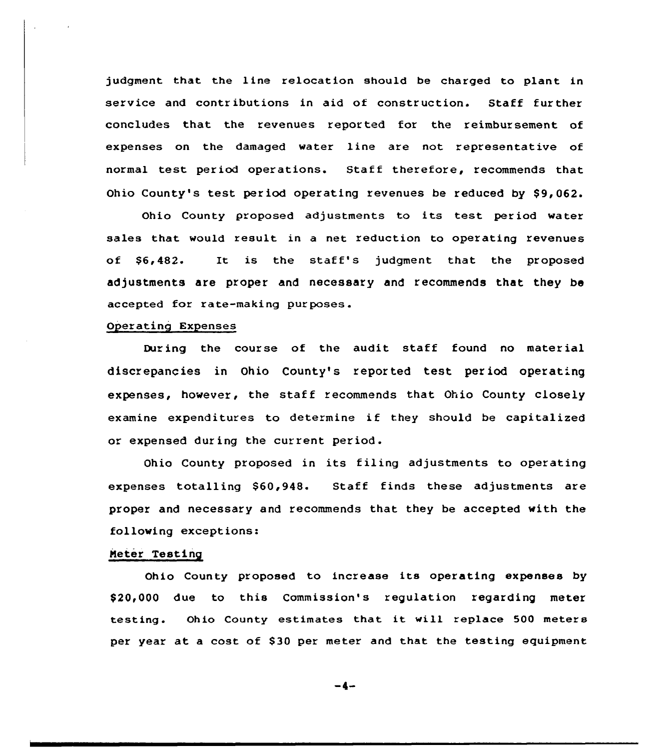judgment that the line relocation should be charged to plant in service and contributions in aid of construction. Staff further concludes that the revenues reported for the reimbursement of expenses on the damaged water line are not representative of normal test period operations. Staff therefore, recommends that Ohio County's test period operating revenues be reduced by \$9,062.

Ohio County proposed adjustments to its test period water sales that would result in a net reduction to operating revenues of \$6,482. It is the staff's judgment that the proposed adjustments are proper and necessary and recommends that they be accepted for rate-making purposes .

# Operating Expenses

During the course of the audit staff found no material discrepancies in Ohio County's reported test period operating expenses, however, the staff recommends that Ohio County closely examine expenditures to determine if they should be capitalized or expensed during the current period.

Ohio County proposed in its filing adjustments to operating expenses totalling \$60,948. Staff finds these adjustments are proper and necessary and recommends that they be accepted with the following exceptions:

# Meter Testing

Ohio County proposed to increase its operating expenses by \$20,000 due to this Commission's regulation regarding meter testing. Ohio County estimates that it will replace <sup>500</sup> meters per year at a cost of S30 per meter and that the testing equipment

-4-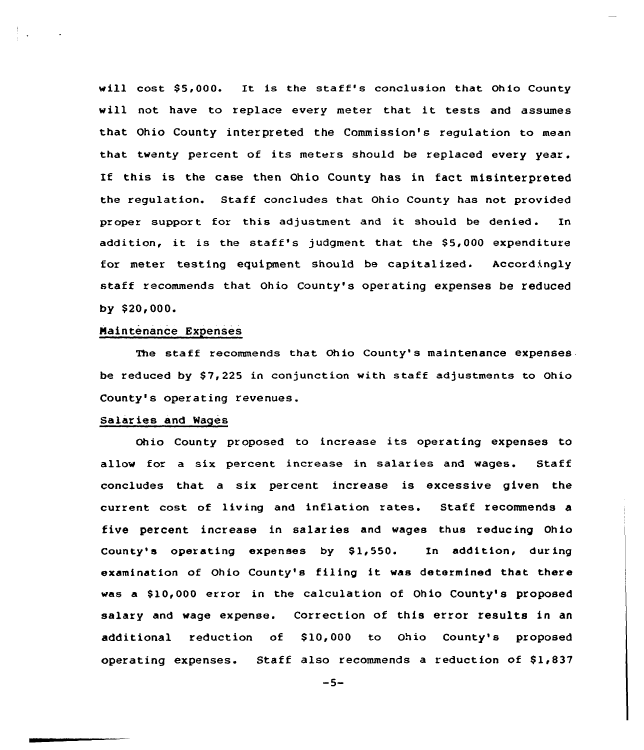will cost \$5,000. It is the staff's conclusion that Ohio County will not have to replace every meter that it tests and assumes that Ohio County interpreted the Commission's regulation to mean that twenty percent of its meters should be replaced every year. If this is the case then Ohio County has in fact misinterpreted the regulation. Staff concludes that Ohio County has not provided proper support for this adjustment and it should be denied. In addition, it is the staff's judgment that the  $$5,000$  expenditure for meter testing equipment should be capitalized. Accordingly staff recommends that Ohio County's operating expenses be reduced by \$20,000.

# Naintenance Expenses

The staff recommends that Ohio County's maintenance expenses be reduced by \$7,225 in conjunction with staff adjustments to Ohio County's operating revenues.

## Salaries and Wages

Ohio County proposed to increase its operating expenses to allow for a six percent increase in salaries and wages. Staff concludes that a six percent increase is excessive given the current cost of living and inflation rates. Staff recommends a five percent increase in salaries and wages thus reducing Ohio County's operating expenses by  $$1,550$ . In addition, during examination of Ohio County's filing it was determined that there was a \$10,000 error in the calculation of Ohio County's proposed salary and wage expense. Correction of this error results in an additional reduction of \$10,000 to Ohio County's proposed operating expenses. Staff also recommends a reduction of  $$1,837$ 

 $-5-$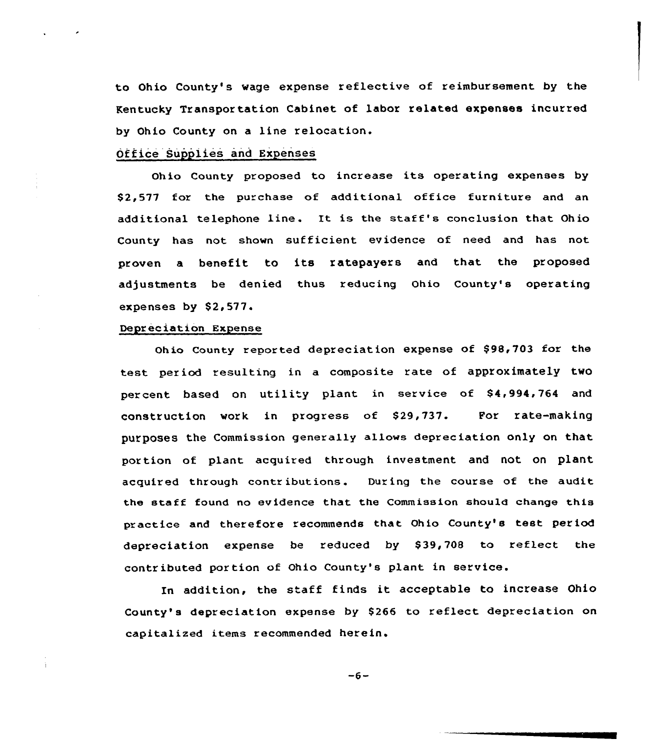to Ohio County's wage expense reflective of reimbursement by the Kentucky Transpor tation Cabinet of labor related expenses incurred by Ohio County on a line relocation.

# Office Supplies and Expenses

Ohio County proposed to increase its operating expenses by \$2,577 for the purchase of additional office furniture and an additional telephone line. It is the staff's conclusion that Ohio County has not shown sufficient evidence of need and has not proven <sup>a</sup> benefit to its ratepayers and that the proposed adjustments be denied thus reducing Ohio County's operating expenses by 82,577.

# Depreciation Expense

Ohio County reported depreciation expense of \$98,703 for the test period resulting in a composite rate of approximately two percent based on utility plant in service of \$4,994,764 and construction work in progress of S29,737. For rate-making purposes the Commission generally allows depreciation only on that portion of plant acquired through investment and not on plant acquired through contributions. During the course of the audit the staff found no evidence that the Commission should change this practice and therefore recommends that Ohio County's test period depreciation expense be reduced by \$39,708 to reflect the contributed portion of Ohio County's plant in service.

In addition, the staff finds it acceptable to increase Ohio County's depreciation expense by \$266 to reflect depreciation on capitalized items recommended herein.

 $-6-$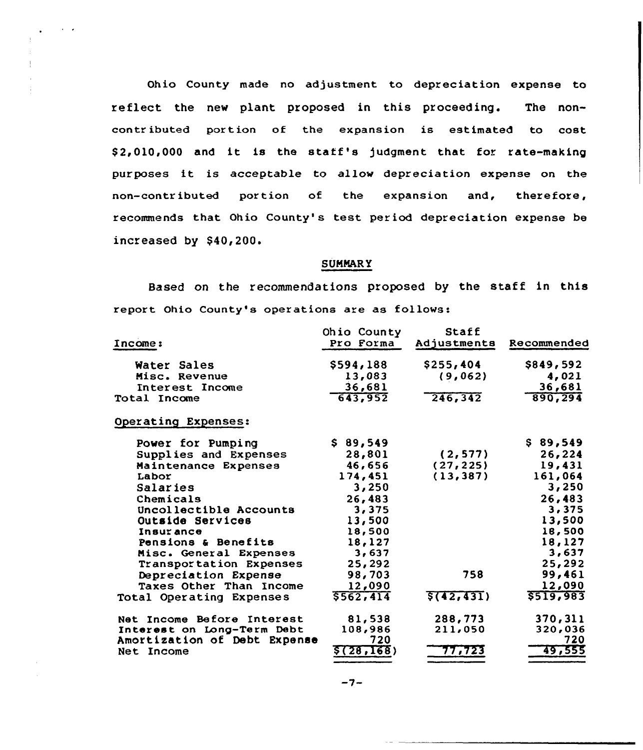Ohio County made no adjustment to depreciation expense to reflect the new plant proposed in this proceeding. The noncontributed portion of the expansion is estimated to cost \$ 2,010,000 and it is the staff's judgment that for rate-making purposes it is acceptable to allow depreciation expense on the non-contr ibuted por tion of the expansion and, therefore, recommends that Ohio County's test period depreciation expense be increased by  $$40,200$ .

#### SUMNAR Y

Based on the recommendations proposed by the staff in this report Ohio County's operations are as follows:

| <b>Income:</b>               | Ohio County<br>Pro Forma | Staff<br>Adjustments | Recommended |
|------------------------------|--------------------------|----------------------|-------------|
| Water Sales                  | \$594,188                | \$255,404            | \$849,592   |
| Misc. Revenue                | 13,083                   | (9,062)              | 4,021       |
| Interest Income              | 36,681                   |                      | 36,681      |
| <b>Total Income</b>          | 643,952                  | 246, 342             | 890,294     |
| Operating Expenses:          |                          |                      |             |
| Power for Pumping            | \$89,549                 |                      | \$89,549    |
| Supplies and Expenses        | 28,801                   | (2, 577)             | 26,224      |
| Maintenance Expenses         | 46,656                   | (27, 225)            | 19,431      |
| Labor                        | 174,451                  | (13, 387)            | 161,064     |
| Salaries                     | 3,250                    |                      | 3,250       |
| Chemicals                    | 26,483                   |                      | 26,483      |
| Uncollectible Accounts       | 3,375                    |                      | 3,375       |
| Outside Services             | 13,500                   |                      | 13,500      |
| Insurance                    | 18,500                   |                      | 18,500      |
| Pensions & Benefits          | 18,127                   |                      | 18,127      |
| Misc. General Expenses       | 3,637                    |                      | 3,637       |
| Transportation Expenses      | 25,292                   |                      | 25,292      |
| Depreciation Expense         | 98,703                   | 758                  | 99,461      |
| Taxes Other Than Income      | 12,090                   |                      | 12,090      |
| Total Operating Expenses     | 5562,414                 | \$(42, 431)          | \$519,983   |
| Net Income Before Interest   | 81,538                   | 288,773              | 370,311     |
| Interest on Long-Term Debt   | 108,986                  | 211,050              | 320,036     |
| Amortization of Debt Expense | 720                      |                      | 720         |
| Net Income                   | \$(28,168)               | 77,723               | 49,555      |

 $-7-$